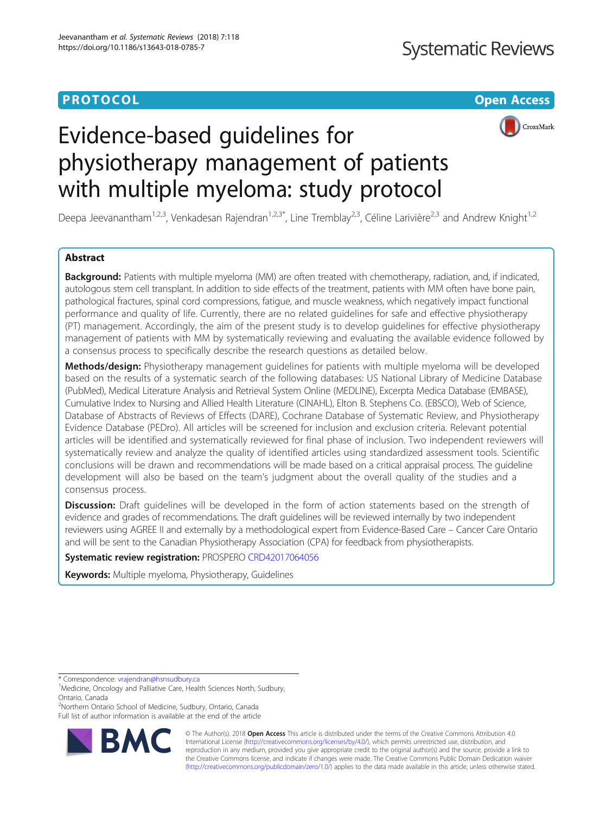## **PROTOCOL CONSUMING THE OPEN ACCESS**



# Evidence-based guidelines for physiotherapy management of patients with multiple myeloma: study protocol

Deepa Jeevanantham<sup>1,2,3</sup>, Venkadesan Rajendran<sup>1,2,3\*</sup>, Line Tremblay<sup>2,3</sup>, Céline Larivière<sup>2,3</sup> and Andrew Knight<sup>1,2</sup>

### Abstract

Background: Patients with multiple myeloma (MM) are often treated with chemotherapy, radiation, and, if indicated, autologous stem cell transplant. In addition to side effects of the treatment, patients with MM often have bone pain, pathological fractures, spinal cord compressions, fatigue, and muscle weakness, which negatively impact functional performance and quality of life. Currently, there are no related guidelines for safe and effective physiotherapy (PT) management. Accordingly, the aim of the present study is to develop guidelines for effective physiotherapy management of patients with MM by systematically reviewing and evaluating the available evidence followed by a consensus process to specifically describe the research questions as detailed below.

Methods/design: Physiotherapy management quidelines for patients with multiple myeloma will be developed based on the results of a systematic search of the following databases: US National Library of Medicine Database (PubMed), Medical Literature Analysis and Retrieval System Online (MEDLINE), Excerpta Medica Database (EMBASE), Cumulative Index to Nursing and Allied Health Literature (CINAHL), Elton B. Stephens Co. (EBSCO), Web of Science, Database of Abstracts of Reviews of Effects (DARE), Cochrane Database of Systematic Review, and Physiotherapy Evidence Database (PEDro). All articles will be screened for inclusion and exclusion criteria. Relevant potential articles will be identified and systematically reviewed for final phase of inclusion. Two independent reviewers will systematically review and analyze the quality of identified articles using standardized assessment tools. Scientific conclusions will be drawn and recommendations will be made based on a critical appraisal process. The guideline development will also be based on the team's judgment about the overall quality of the studies and a consensus process.

**Discussion:** Draft guidelines will be developed in the form of action statements based on the strength of evidence and grades of recommendations. The draft guidelines will be reviewed internally by two independent reviewers using AGREE II and externally by a methodological expert from Evidence-Based Care – Cancer Care Ontario and will be sent to the Canadian Physiotherapy Association (CPA) for feedback from physiotherapists.

#### Systematic review registration: PROSPERO [CRD42017064056](http://www.crd.york.ac.uk/prospero/display_record.php?ID=CRD42017064056)

Keywords: Multiple myeloma, Physiotherapy, Guidelines

\* Correspondence: [vrajendran@hsnsudbury.ca](mailto:vrajendran@hsnsudbury.ca) <sup>1</sup>

<sup>2</sup>Northern Ontario School of Medicine, Sudbury, Ontario, Canada Full list of author information is available at the end of the article



© The Author(s). 2018 Open Access This article is distributed under the terms of the Creative Commons Attribution 4.0 International License [\(http://creativecommons.org/licenses/by/4.0/](http://creativecommons.org/licenses/by/4.0/)), which permits unrestricted use, distribution, and reproduction in any medium, provided you give appropriate credit to the original author(s) and the source, provide a link to the Creative Commons license, and indicate if changes were made. The Creative Commons Public Domain Dedication waiver [\(http://creativecommons.org/publicdomain/zero/1.0/](http://creativecommons.org/publicdomain/zero/1.0/)) applies to the data made available in this article, unless otherwise stated.

<sup>&</sup>lt;sup>1</sup>Medicine, Oncology and Palliative Care, Health Sciences North, Sudbury, Ontario, Canada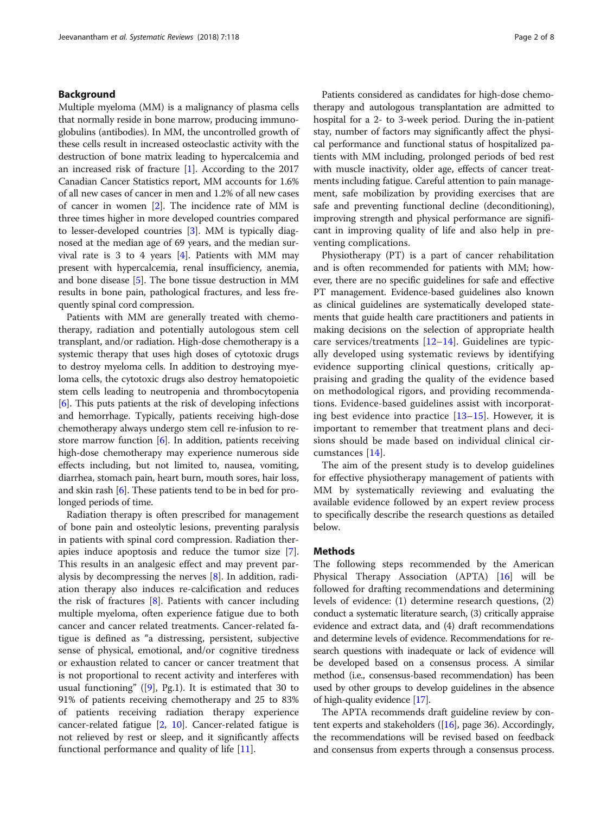#### Background

Multiple myeloma (MM) is a malignancy of plasma cells that normally reside in bone marrow, producing immunoglobulins (antibodies). In MM, the uncontrolled growth of these cells result in increased osteoclastic activity with the destruction of bone matrix leading to hypercalcemia and an increased risk of fracture [[1\]](#page-6-0). According to the 2017 Canadian Cancer Statistics report, MM accounts for 1.6% of all new cases of cancer in men and 1.2% of all new cases of cancer in women [\[2](#page-6-0)]. The incidence rate of MM is three times higher in more developed countries compared to lesser-developed countries [[3](#page-6-0)]. MM is typically diagnosed at the median age of 69 years, and the median survival rate is 3 to 4 years [[4\]](#page-6-0). Patients with MM may present with hypercalcemia, renal insufficiency, anemia, and bone disease [\[5\]](#page-6-0). The bone tissue destruction in MM results in bone pain, pathological fractures, and less frequently spinal cord compression.

Patients with MM are generally treated with chemotherapy, radiation and potentially autologous stem cell transplant, and/or radiation. High-dose chemotherapy is a systemic therapy that uses high doses of cytotoxic drugs to destroy myeloma cells. In addition to destroying myeloma cells, the cytotoxic drugs also destroy hematopoietic stem cells leading to neutropenia and thrombocytopenia [[6\]](#page-7-0). This puts patients at the risk of developing infections and hemorrhage. Typically, patients receiving high-dose chemotherapy always undergo stem cell re-infusion to restore marrow function  $[6]$  $[6]$ . In addition, patients receiving high-dose chemotherapy may experience numerous side effects including, but not limited to, nausea, vomiting, diarrhea, stomach pain, heart burn, mouth sores, hair loss, and skin rash  $[6]$  $[6]$  $[6]$ . These patients tend to be in bed for prolonged periods of time.

Radiation therapy is often prescribed for management of bone pain and osteolytic lesions, preventing paralysis in patients with spinal cord compression. Radiation therapies induce apoptosis and reduce the tumor size [\[7](#page-7-0)]. This results in an analgesic effect and may prevent paralysis by decompressing the nerves [[8\]](#page-7-0). In addition, radiation therapy also induces re-calcification and reduces the risk of fractures [\[8](#page-7-0)]. Patients with cancer including multiple myeloma, often experience fatigue due to both cancer and cancer related treatments. Cancer-related fatigue is defined as "a distressing, persistent, subjective sense of physical, emotional, and/or cognitive tiredness or exhaustion related to cancer or cancer treatment that is not proportional to recent activity and interferes with usual functioning" ( $[9]$ , Pg.1). It is estimated that 30 to 91% of patients receiving chemotherapy and 25 to 83% of patients receiving radiation therapy experience cancer-related fatigue [[2,](#page-6-0) [10\]](#page-7-0). Cancer-related fatigue is not relieved by rest or sleep, and it significantly affects functional performance and quality of life [\[11](#page-7-0)].

Patients considered as candidates for high-dose chemotherapy and autologous transplantation are admitted to hospital for a 2- to 3-week period. During the in-patient stay, number of factors may significantly affect the physical performance and functional status of hospitalized patients with MM including, prolonged periods of bed rest with muscle inactivity, older age, effects of cancer treatments including fatigue. Careful attention to pain management, safe mobilization by providing exercises that are safe and preventing functional decline (deconditioning), improving strength and physical performance are significant in improving quality of life and also help in preventing complications.

Physiotherapy (PT) is a part of cancer rehabilitation and is often recommended for patients with MM; however, there are no specific guidelines for safe and effective PT management. Evidence-based guidelines also known as clinical guidelines are systematically developed statements that guide health care practitioners and patients in making decisions on the selection of appropriate health care services/treatments [\[12](#page-7-0)–[14](#page-7-0)]. Guidelines are typically developed using systematic reviews by identifying evidence supporting clinical questions, critically appraising and grading the quality of the evidence based on methodological rigors, and providing recommendations. Evidence-based guidelines assist with incorporating best evidence into practice  $[13-15]$  $[13-15]$  $[13-15]$  $[13-15]$ . However, it is important to remember that treatment plans and decisions should be made based on individual clinical circumstances [[14](#page-7-0)].

The aim of the present study is to develop guidelines for effective physiotherapy management of patients with MM by systematically reviewing and evaluating the available evidence followed by an expert review process to specifically describe the research questions as detailed below.

#### **Methods**

The following steps recommended by the American Physical Therapy Association (APTA) [[16](#page-7-0)] will be followed for drafting recommendations and determining levels of evidence: (1) determine research questions, (2) conduct a systematic literature search, (3) critically appraise evidence and extract data, and (4) draft recommendations and determine levels of evidence. Recommendations for research questions with inadequate or lack of evidence will be developed based on a consensus process. A similar method (i.e., consensus-based recommendation) has been used by other groups to develop guidelines in the absence of high-quality evidence [\[17\]](#page-7-0).

The APTA recommends draft guideline review by content experts and stakeholders  $([16]$  $([16]$  $([16]$ , page 36). Accordingly, the recommendations will be revised based on feedback and consensus from experts through a consensus process.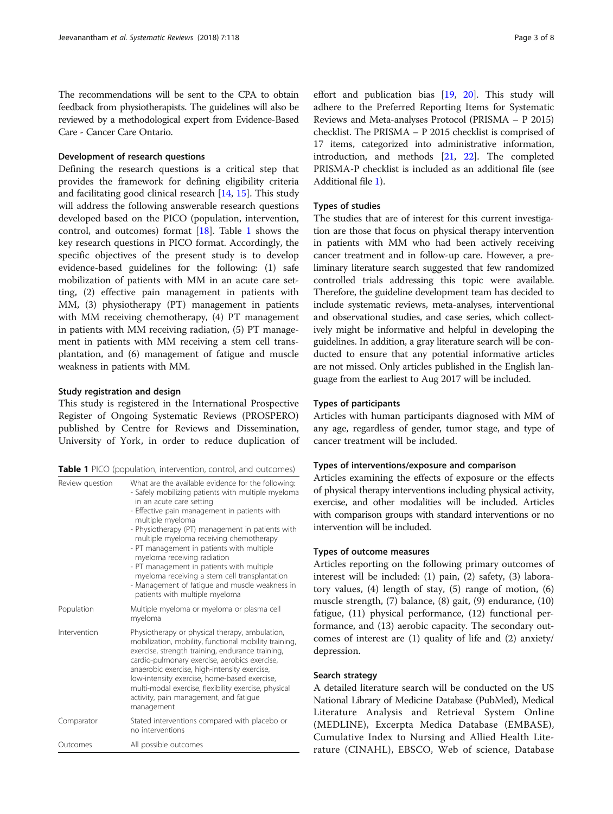The recommendations will be sent to the CPA to obtain feedback from physiotherapists. The guidelines will also be reviewed by a methodological expert from Evidence-Based Care - Cancer Care Ontario.

#### Development of research questions

Defining the research questions is a critical step that provides the framework for defining eligibility criteria and facilitating good clinical research [[14,](#page-7-0) [15\]](#page-7-0). This study will address the following answerable research questions developed based on the PICO (population, intervention, control, and outcomes) format [[18](#page-7-0)]. Table 1 shows the key research questions in PICO format. Accordingly, the specific objectives of the present study is to develop evidence-based guidelines for the following: (1) safe mobilization of patients with MM in an acute care setting, (2) effective pain management in patients with MM, (3) physiotherapy (PT) management in patients with MM receiving chemotherapy, (4) PT management in patients with MM receiving radiation, (5) PT management in patients with MM receiving a stem cell transplantation, and (6) management of fatigue and muscle weakness in patients with MM.

#### Study registration and design

This study is registered in the International Prospective Register of Ongoing Systematic Reviews (PROSPERO) published by Centre for Reviews and Dissemination, University of York, in order to reduce duplication of

| Review question | What are the available evidence for the following:<br>- Safely mobilizing patients with multiple myeloma<br>in an acute care setting<br>- Effective pain management in patients with<br>multiple myeloma<br>- Physiotherapy (PT) management in patients with<br>multiple myeloma receiving chemotherapy<br>- PT management in patients with multiple<br>myeloma receiving radiation<br>- PT management in patients with multiple<br>myeloma receiving a stem cell transplantation<br>- Management of fatigue and muscle weakness in<br>patients with multiple myeloma |  |
|-----------------|-----------------------------------------------------------------------------------------------------------------------------------------------------------------------------------------------------------------------------------------------------------------------------------------------------------------------------------------------------------------------------------------------------------------------------------------------------------------------------------------------------------------------------------------------------------------------|--|
| Population      | Multiple myeloma or myeloma or plasma cell<br>myeloma                                                                                                                                                                                                                                                                                                                                                                                                                                                                                                                 |  |
| Intervention    | Physiotherapy or physical therapy, ambulation,<br>mobilization, mobility, functional mobility training,<br>exercise, strength training, endurance training,<br>cardio-pulmonary exercise, aerobics exercise,<br>anaerobic exercise, high-intensity exercise,<br>low-intensity exercise, home-based exercise,<br>multi-modal exercise, flexibility exercise, physical<br>activity, pain management, and fatique<br>management                                                                                                                                          |  |
| Comparator      | Stated interventions compared with placebo or<br>no interventions                                                                                                                                                                                                                                                                                                                                                                                                                                                                                                     |  |
| Outcomes        | All possible outcomes                                                                                                                                                                                                                                                                                                                                                                                                                                                                                                                                                 |  |

effort and publication bias [[19,](#page-7-0) [20\]](#page-7-0). This study will adhere to the Preferred Reporting Items for Systematic Reviews and Meta-analyses Protocol (PRISMA – P 2015) checklist. The PRISMA – P 2015 checklist is comprised of 17 items, categorized into administrative information, introduction, and methods [[21](#page-7-0), [22\]](#page-7-0). The completed PRISMA-P checklist is included as an additional file (see Additional file [1](#page-6-0)).

#### Types of studies

The studies that are of interest for this current investigation are those that focus on physical therapy intervention in patients with MM who had been actively receiving cancer treatment and in follow-up care. However, a preliminary literature search suggested that few randomized controlled trials addressing this topic were available. Therefore, the guideline development team has decided to include systematic reviews, meta-analyses, interventional and observational studies, and case series, which collectively might be informative and helpful in developing the guidelines. In addition, a gray literature search will be conducted to ensure that any potential informative articles are not missed. Only articles published in the English language from the earliest to Aug 2017 will be included.

#### Types of participants

Articles with human participants diagnosed with MM of any age, regardless of gender, tumor stage, and type of cancer treatment will be included.

#### Types of interventions/exposure and comparison

Articles examining the effects of exposure or the effects of physical therapy interventions including physical activity, exercise, and other modalities will be included. Articles with comparison groups with standard interventions or no intervention will be included.

#### Types of outcome measures

Articles reporting on the following primary outcomes of interest will be included: (1) pain, (2) safety, (3) laboratory values, (4) length of stay, (5) range of motion, (6) muscle strength, (7) balance, (8) gait, (9) endurance, (10) fatigue, (11) physical performance, (12) functional performance, and (13) aerobic capacity. The secondary outcomes of interest are (1) quality of life and (2) anxiety/ depression.

#### Search strategy

A detailed literature search will be conducted on the US National Library of Medicine Database (PubMed), Medical Literature Analysis and Retrieval System Online (MEDLINE), Excerpta Medica Database (EMBASE), Cumulative Index to Nursing and Allied Health Literature (CINAHL), EBSCO, Web of science, Database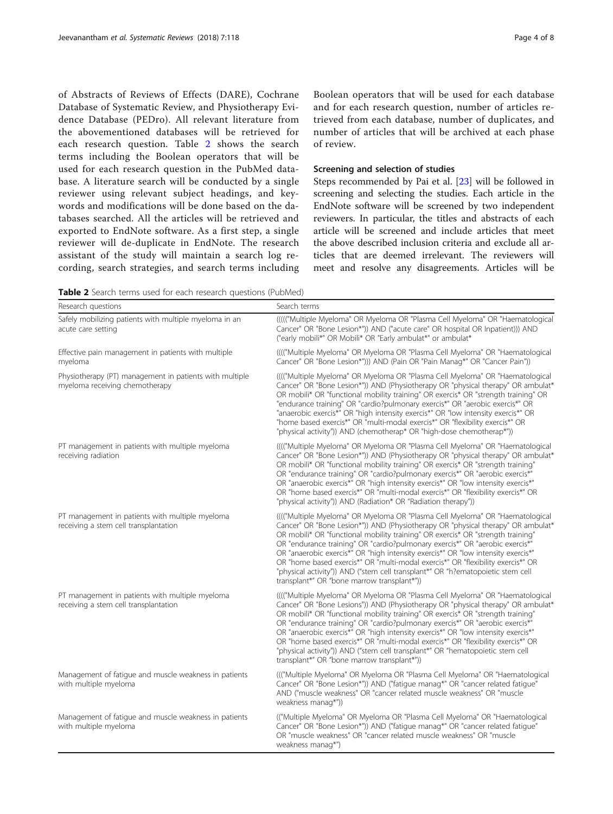of Abstracts of Reviews of Effects (DARE), Cochrane Database of Systematic Review, and Physiotherapy Evidence Database (PEDro). All relevant literature from the abovementioned databases will be retrieved for each research question. Table 2 shows the search terms including the Boolean operators that will be used for each research question in the PubMed database. A literature search will be conducted by a single reviewer using relevant subject headings, and keywords and modifications will be done based on the databases searched. All the articles will be retrieved and exported to EndNote software. As a first step, a single reviewer will de-duplicate in EndNote. The research assistant of the study will maintain a search log recording, search strategies, and search terms including

Boolean operators that will be used for each database and for each research question, number of articles retrieved from each database, number of duplicates, and number of articles that will be archived at each phase of review.

#### Screening and selection of studies

Steps recommended by Pai et al. [\[23\]](#page-7-0) will be followed in screening and selecting the studies. Each article in the EndNote software will be screened by two independent reviewers. In particular, the titles and abstracts of each article will be screened and include articles that meet the above described inclusion criteria and exclude all articles that are deemed irrelevant. The reviewers will meet and resolve any disagreements. Articles will be

Table 2 Search terms used for each research questions (PubMed)

| Research questions                                                                        | Search terms                                                                                                                                                                                                                                                                                                                                                                                                                                                                                                                                                                                                                                 |
|-------------------------------------------------------------------------------------------|----------------------------------------------------------------------------------------------------------------------------------------------------------------------------------------------------------------------------------------------------------------------------------------------------------------------------------------------------------------------------------------------------------------------------------------------------------------------------------------------------------------------------------------------------------------------------------------------------------------------------------------------|
| Safely mobilizing patients with multiple myeloma in an<br>acute care setting              | (((("Multiple Myeloma" OR Myeloma OR "Plasma Cell Myeloma" OR "Haematological<br>Cancer" OR "Bone Lesion*")) AND ("acute care" OR hospital OR Inpatient))) AND<br>("early mobili*" OR Mobili* OR "Early ambulat*" or ambulat*                                                                                                                                                                                                                                                                                                                                                                                                                |
| Effective pain management in patients with multiple<br>myeloma                            | ((("Multiple Myeloma" OR Myeloma OR "Plasma Cell Myeloma" OR "Haematological<br>Cancer" OR "Bone Lesion*"))) AND (Pain OR "Pain Manag*" OR "Cancer Pain"))                                                                                                                                                                                                                                                                                                                                                                                                                                                                                   |
| Physiotherapy (PT) management in patients with multiple<br>myeloma receiving chemotherapy | ((("Multiple Myeloma" OR Myeloma OR "Plasma Cell Myeloma" OR "Haematological<br>Cancer" OR "Bone Lesion*")) AND (Physiotherapy OR "physical therapy" OR ambulat*<br>OR mobili* OR "functional mobility training" OR exercis* OR "strength training" OR<br>"endurance training" OR "cardio?pulmonary exercis*" OR "aerobic exercis*" OR<br>"anaerobic exercis*" OR "high intensity exercis*" OR "low intensity exercis*" OR<br>"home based exercis*" OR "multi-modal exercis*" OR "flexibility exercis*" OR<br>"physical activity")) AND (chemotherap* OR "high-dose chemotherap*"))                                                          |
| PT management in patients with multiple myeloma<br>receiving radiation                    | ((("Multiple Myeloma" OR Myeloma OR "Plasma Cell Myeloma" OR "Haematological<br>Cancer" OR "Bone Lesion*")) AND (Physiotherapy OR "physical therapy" OR ambulat*<br>OR mobili* OR "functional mobility training" OR exercis* OR "strength training"<br>OR "endurance training" OR "cardio?pulmonary exercis*" OR "aerobic exercis*"<br>OR "anaerobic exercis*" OR "high intensity exercis*" OR "low intensity exercis*"<br>OR "home based exercis*" OR "multi-modal exercis*" OR "flexibility exercis*" OR<br>"physical activity")) AND (Radiation* OR "Radiation therapy"))                                                                 |
| PT management in patients with multiple myeloma<br>receiving a stem cell transplantation  | ((("Multiple Myeloma" OR Myeloma OR "Plasma Cell Myeloma" OR "Haematological<br>Cancer" OR "Bone Lesion*")) AND (Physiotherapy OR "physical therapy" OR ambulat*<br>OR mobili* OR "functional mobility training" OR exercis* OR "strength training"<br>OR "endurance training" OR "cardio?pulmonary exercis*" OR "aerobic exercis*"<br>OR "anaerobic exercis*" OR "high intensity exercis*" OR "low intensity exercis*"<br>OR "home based exercis*" OR "multi-modal exercis*" OR "flexibility exercis*" OR<br>"physical activity")) AND ("stem cell transplant*" OR "h?ematopoietic stem cell<br>transplant*" OR "bone marrow transplant*")) |
| PT management in patients with multiple myeloma<br>receiving a stem cell transplantation  | ((("Multiple Myeloma" OR Myeloma OR "Plasma Cell Myeloma" OR "Haematological<br>Cancer" OR "Bone Lesions")) AND (Physiotherapy OR "physical therapy" OR ambulat*<br>OR mobili* OR "functional mobility training" OR exercis* OR "strength training"<br>OR "endurance training" OR "cardio?pulmonary exercis*" OR "aerobic exercis*"<br>OR "anaerobic exercis*" OR "high intensity exercis*" OR "low intensity exercis*"<br>OR "home based exercis*" OR "multi-modal exercis*" OR "flexibility exercis*" OR<br>"physical activity")) AND ("stem cell transplant*" OR "hematopoietic stem cell<br>transplant*" OR "bone marrow transplant*"))  |
| Management of fatigue and muscle weakness in patients<br>with multiple myeloma            | (("Multiple Myeloma" OR Myeloma OR "Plasma Cell Myeloma" OR "Haematological<br>Cancer" OR "Bone Lesion*")) AND ("fatigue manag*" OR "cancer related fatigue"<br>AND ("muscle weakness" OR "cancer related muscle weakness" OR "muscle<br>weakness manag*"))                                                                                                                                                                                                                                                                                                                                                                                  |
| Management of fatigue and muscle weakness in patients<br>with multiple myeloma            | (("Multiple Myeloma" OR Myeloma OR "Plasma Cell Myeloma" OR "Haematological<br>Cancer" OR "Bone Lesion*")) AND ("fatigue manag*" OR "cancer related fatigue"<br>OR "muscle weakness" OR "cancer related muscle weakness" OR "muscle<br>weakness manag*")                                                                                                                                                                                                                                                                                                                                                                                     |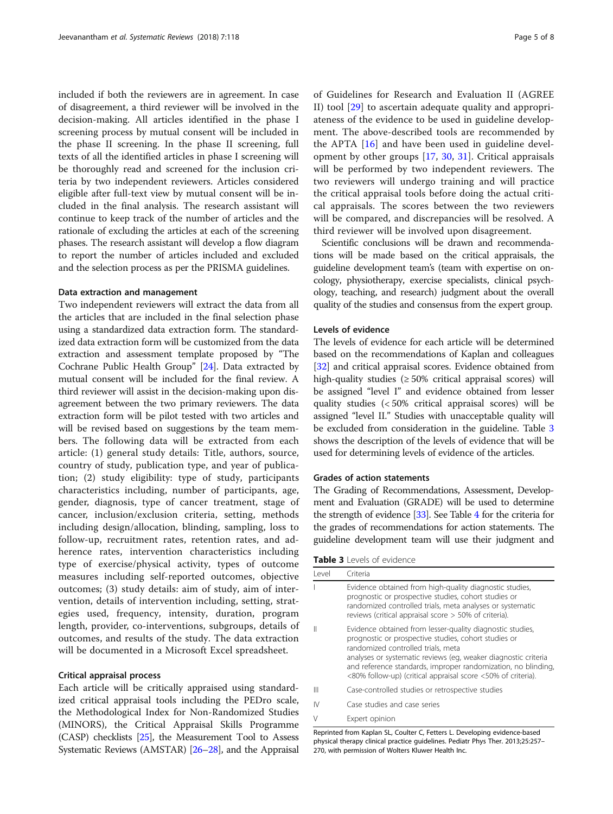included if both the reviewers are in agreement. In case of disagreement, a third reviewer will be involved in the decision-making. All articles identified in the phase I screening process by mutual consent will be included in the phase II screening. In the phase II screening, full texts of all the identified articles in phase I screening will be thoroughly read and screened for the inclusion criteria by two independent reviewers. Articles considered eligible after full-text view by mutual consent will be included in the final analysis. The research assistant will continue to keep track of the number of articles and the rationale of excluding the articles at each of the screening phases. The research assistant will develop a flow diagram to report the number of articles included and excluded and the selection process as per the PRISMA guidelines.

#### Data extraction and management

Two independent reviewers will extract the data from all the articles that are included in the final selection phase using a standardized data extraction form. The standardized data extraction form will be customized from the data extraction and assessment template proposed by "The Cochrane Public Health Group" [[24](#page-7-0)]. Data extracted by mutual consent will be included for the final review. A third reviewer will assist in the decision-making upon disagreement between the two primary reviewers. The data extraction form will be pilot tested with two articles and will be revised based on suggestions by the team members. The following data will be extracted from each article: (1) general study details: Title, authors, source, country of study, publication type, and year of publication; (2) study eligibility: type of study, participants characteristics including, number of participants, age, gender, diagnosis, type of cancer treatment, stage of cancer, inclusion/exclusion criteria, setting, methods including design/allocation, blinding, sampling, loss to follow-up, recruitment rates, retention rates, and adherence rates, intervention characteristics including type of exercise/physical activity, types of outcome measures including self-reported outcomes, objective outcomes; (3) study details: aim of study, aim of intervention, details of intervention including, setting, strategies used, frequency, intensity, duration, program length, provider, co-interventions, subgroups, details of outcomes, and results of the study. The data extraction will be documented in a Microsoft Excel spreadsheet.

#### Critical appraisal process

Each article will be critically appraised using standardized critical appraisal tools including the PEDro scale, the Methodological Index for Non-Randomized Studies (MINORS), the Critical Appraisal Skills Programme (CASP) checklists [[25](#page-7-0)], the Measurement Tool to Assess Systematic Reviews (AMSTAR) [\[26](#page-7-0)–[28\]](#page-7-0), and the Appraisal

of Guidelines for Research and Evaluation II (AGREE II) tool [[29\]](#page-7-0) to ascertain adequate quality and appropriateness of the evidence to be used in guideline development. The above-described tools are recommended by the APTA [[16\]](#page-7-0) and have been used in guideline development by other groups [[17,](#page-7-0) [30](#page-7-0), [31\]](#page-7-0). Critical appraisals will be performed by two independent reviewers. The two reviewers will undergo training and will practice the critical appraisal tools before doing the actual critical appraisals. The scores between the two reviewers will be compared, and discrepancies will be resolved. A third reviewer will be involved upon disagreement.

Scientific conclusions will be drawn and recommendations will be made based on the critical appraisals, the guideline development team's (team with expertise on oncology, physiotherapy, exercise specialists, clinical psychology, teaching, and research) judgment about the overall quality of the studies and consensus from the expert group.

#### Levels of evidence

The levels of evidence for each article will be determined based on the recommendations of Kaplan and colleagues [[32](#page-7-0)] and critical appraisal scores. Evidence obtained from high-quality studies ( $\geq 50\%$  critical appraisal scores) will be assigned "level I" and evidence obtained from lesser quality studies (< 50% critical appraisal scores) will be assigned "level II." Studies with unacceptable quality will be excluded from consideration in the guideline. Table 3 shows the description of the levels of evidence that will be used for determining levels of evidence of the articles.

#### Grades of action statements

The Grading of Recommendations, Assessment, Development and Evaluation (GRADE) will be used to determine the strength of evidence [[33\]](#page-7-0). See Table [4](#page-5-0) for the criteria for the grades of recommendations for action statements. The guideline development team will use their judgment and

| <b>Table 3</b> Levels of evidence |  |
|-----------------------------------|--|
|-----------------------------------|--|

| Level | Criteria                                                                                                                                                                                                                                                                                                                                                   |
|-------|------------------------------------------------------------------------------------------------------------------------------------------------------------------------------------------------------------------------------------------------------------------------------------------------------------------------------------------------------------|
|       | Evidence obtained from high-quality diagnostic studies,<br>prognostic or prospective studies, cohort studies or<br>randomized controlled trials, meta analyses or systematic<br>reviews (critical appraisal score > 50% of criteria).                                                                                                                      |
| Ш     | Evidence obtained from lesser-quality diagnostic studies,<br>prognostic or prospective studies, cohort studies or<br>randomized controlled trials, meta<br>analyses or systematic reviews (eg, weaker diagnostic criteria<br>and reference standards, improper randomization, no blinding,<br><80% follow-up) (critical appraisal score <50% of criteria). |
| Ш     | Case-controlled studies or retrospective studies                                                                                                                                                                                                                                                                                                           |
| IV    | Case studies and case series                                                                                                                                                                                                                                                                                                                               |
|       | Expert opinion                                                                                                                                                                                                                                                                                                                                             |

Reprinted from Kaplan SL, Coulter C, Fetters L. Developing evidence-based physical therapy clinical practice guidelines. Pediatr Phys Ther. 2013;25:257– 270, with permission of Wolters Kluwer Health Inc.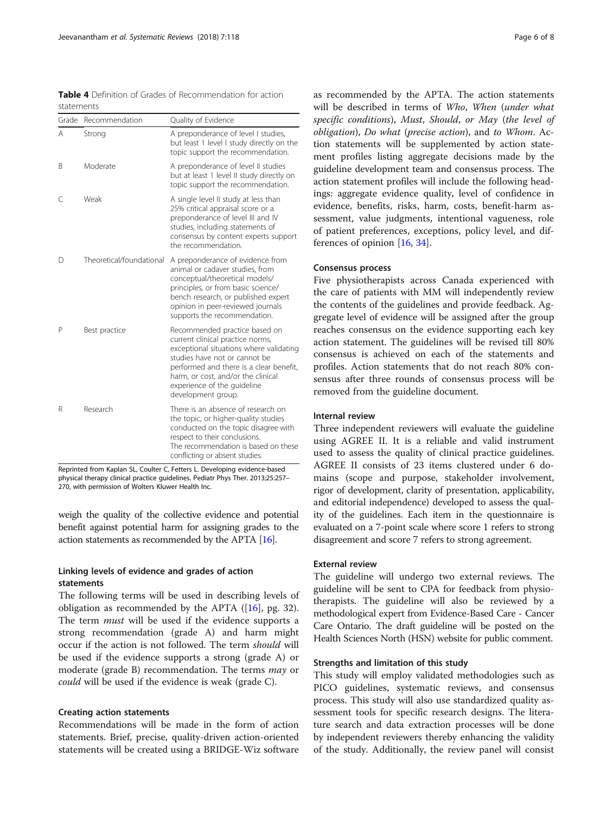<span id="page-5-0"></span>Table 4 Definition of Grades of Recommendation for action statements

|   | Grade Recommendation     | Quality of Evidence                                                                                                                                                                                                                                                                 |
|---|--------------------------|-------------------------------------------------------------------------------------------------------------------------------------------------------------------------------------------------------------------------------------------------------------------------------------|
| A | Strong                   | A preponderance of level I studies,<br>but least 1 level I study directly on the<br>topic support the recommendation.                                                                                                                                                               |
| B | Moderate                 | A preponderance of level II studies<br>but at least 1 level II study directly on<br>topic support the recommendation.                                                                                                                                                               |
| C | Weak                     | A single level II study at less than<br>25% critical appraisal score or a<br>preponderance of level III and IV<br>studies, including statements of<br>consensus by content experts support<br>the recommendation.                                                                   |
| D | Theoretical/foundational | A preponderance of evidence from<br>animal or cadaver studies, from<br>conceptual/theoretical models/<br>principles, or from basic science/<br>bench research, or published expert<br>opinion in peer-reviewed journals<br>supports the recommendation.                             |
| P | Best practice            | Recommended practice based on<br>current clinical practice norms,<br>exceptional situations where validating<br>studies have not or cannot be<br>performed and there is a clear benefit,<br>harm, or cost, and/or the clinical<br>experience of the quideline<br>development group. |
| R | Research                 | There is an absence of research on<br>the topic, or higher-quality studies<br>conducted on the topic disagree with<br>respect to their conclusions.<br>The recommendation is based on these<br>conflicting or absent studies.                                                       |

Reprinted from Kaplan SL, Coulter C, Fetters L. Developing evidence-based physical therapy clinical practice guidelines. Pediatr Phys Ther. 2013;25:257– 270, with permission of Wolters Kluwer Health Inc.

weigh the quality of the collective evidence and potential benefit against potential harm for assigning grades to the action statements as recommended by the APTA [\[16](#page-7-0)].

#### Linking levels of evidence and grades of action statements

The following terms will be used in describing levels of obligation as recommended by the APTA  $(16)$ , pg. 32). The term *must* will be used if the evidence supports a strong recommendation (grade A) and harm might occur if the action is not followed. The term should will be used if the evidence supports a strong (grade A) or moderate (grade B) recommendation. The terms may or could will be used if the evidence is weak (grade C).

#### Creating action statements

Recommendations will be made in the form of action statements. Brief, precise, quality-driven action-oriented statements will be created using a BRIDGE-Wiz software as recommended by the APTA. The action statements will be described in terms of Who, When (under what specific conditions), Must, Should, or May (the level of obligation), Do what (precise action), and to Whom. Action statements will be supplemented by action statement profiles listing aggregate decisions made by the guideline development team and consensus process. The action statement profiles will include the following headings: aggregate evidence quality, level of confidence in evidence, benefits, risks, harm, costs, benefit-harm assessment, value judgments, intentional vagueness, role of patient preferences, exceptions, policy level, and differences of opinion [\[16](#page-7-0), [34](#page-7-0)].

#### Consensus process

Five physiotherapists across Canada experienced with the care of patients with MM will independently review the contents of the guidelines and provide feedback. Aggregate level of evidence will be assigned after the group reaches consensus on the evidence supporting each key action statement. The guidelines will be revised till 80% consensus is achieved on each of the statements and profiles. Action statements that do not reach 80% consensus after three rounds of consensus process will be removed from the guideline document.

#### Internal review

Three independent reviewers will evaluate the guideline using AGREE II. It is a reliable and valid instrument used to assess the quality of clinical practice guidelines. AGREE II consists of 23 items clustered under 6 domains (scope and purpose, stakeholder involvement, rigor of development, clarity of presentation, applicability, and editorial independence) developed to assess the quality of the guidelines. Each item in the questionnaire is evaluated on a 7-point scale where score 1 refers to strong disagreement and score 7 refers to strong agreement.

#### External review

The guideline will undergo two external reviews. The guideline will be sent to CPA for feedback from physiotherapists. The guideline will also be reviewed by a methodological expert from Evidence-Based Care - Cancer Care Ontario. The draft guideline will be posted on the Health Sciences North (HSN) website for public comment.

#### Strengths and limitation of this study

This study will employ validated methodologies such as PICO guidelines, systematic reviews, and consensus process. This study will also use standardized quality assessment tools for specific research designs. The literature search and data extraction processes will be done by independent reviewers thereby enhancing the validity of the study. Additionally, the review panel will consist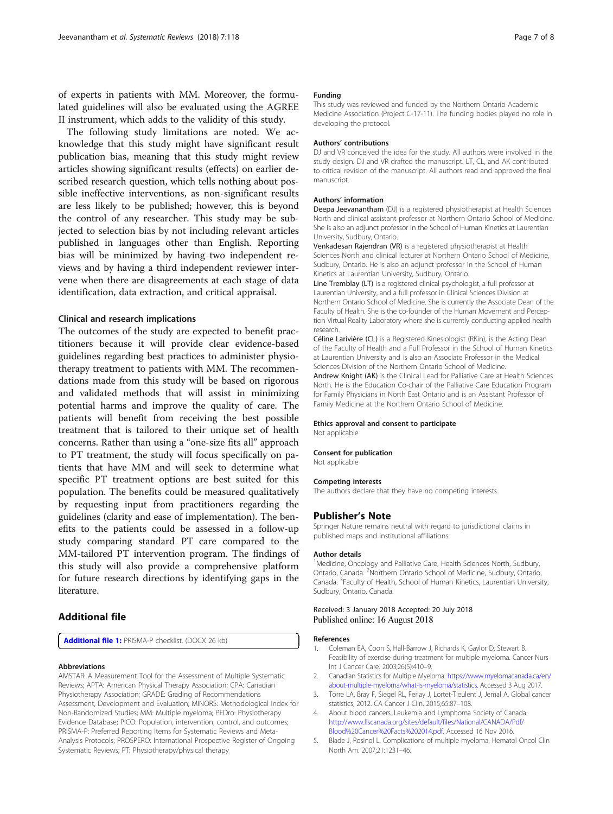<span id="page-6-0"></span>of experts in patients with MM. Moreover, the formulated guidelines will also be evaluated using the AGREE II instrument, which adds to the validity of this study.

The following study limitations are noted. We acknowledge that this study might have significant result publication bias, meaning that this study might review articles showing significant results (effects) on earlier described research question, which tells nothing about possible ineffective interventions, as non-significant results are less likely to be published; however, this is beyond the control of any researcher. This study may be subjected to selection bias by not including relevant articles published in languages other than English. Reporting bias will be minimized by having two independent reviews and by having a third independent reviewer intervene when there are disagreements at each stage of data identification, data extraction, and critical appraisal.

#### Clinical and research implications

The outcomes of the study are expected to benefit practitioners because it will provide clear evidence-based guidelines regarding best practices to administer physiotherapy treatment to patients with MM. The recommendations made from this study will be based on rigorous and validated methods that will assist in minimizing potential harms and improve the quality of care. The patients will benefit from receiving the best possible treatment that is tailored to their unique set of health concerns. Rather than using a "one-size fits all" approach to PT treatment, the study will focus specifically on patients that have MM and will seek to determine what specific PT treatment options are best suited for this population. The benefits could be measured qualitatively by requesting input from practitioners regarding the guidelines (clarity and ease of implementation). The benefits to the patients could be assessed in a follow-up study comparing standard PT care compared to the MM-tailored PT intervention program. The findings of this study will also provide a comprehensive platform for future research directions by identifying gaps in the literature.

#### Additional file

[Additional file 1:](https://doi.org/10.1186/s13643-018-0785-7) PRISMA-P checklist. (DOCX 26 kb)

#### Abbreviations

AMSTAR: A Measurement Tool for the Assessment of Multiple Systematic Reviews; APTA: American Physical Therapy Association; CPA: Canadian Physiotherapy Association; GRADE: Grading of Recommendations Assessment, Development and Evaluation; MINORS: Methodological Index for Non-Randomized Studies; MM: Multiple myeloma; PEDro: Physiotherapy Evidence Database; PICO: Population, intervention, control, and outcomes; PRISMA-P: Preferred Reporting Items for Systematic Reviews and Meta-Analysis Protocols; PROSPERO: International Prospective Register of Ongoing Systematic Reviews; PT: Physiotherapy/physical therapy

#### Funding

This study was reviewed and funded by the Northern Ontario Academic Medicine Association (Project C-17-11). The funding bodies played no role in developing the protocol.

#### Authors' contributions

DJ and VR conceived the idea for the study. All authors were involved in the study design. DJ and VR drafted the manuscript. LT, CL, and AK contributed to critical revision of the manuscript. All authors read and approved the final manuscript.

#### Authors' information

Deepa Jeevanantham (DJ) is a registered physiotherapist at Health Sciences North and clinical assistant professor at Northern Ontario School of Medicine. She is also an adjunct professor in the School of Human Kinetics at Laurentian University, Sudbury, Ontario.

Venkadesan Rajendran (VR) is a registered physiotherapist at Health Sciences North and clinical lecturer at Northern Ontario School of Medicine, Sudbury, Ontario. He is also an adjunct professor in the School of Human Kinetics at Laurentian University, Sudbury, Ontario.

Line Tremblay (LT) is a registered clinical psychologist, a full professor at Laurentian University, and a full professor in Clinical Sciences Division at Northern Ontario School of Medicine. She is currently the Associate Dean of the Faculty of Health. She is the co-founder of the Human Movement and Perception Virtual Reality Laboratory where she is currently conducting applied health research.

Céline Larivière (CL) is a Registered Kinesiologist (RKin), is the Acting Dean of the Faculty of Health and a Full Professor in the School of Human Kinetics at Laurentian University and is also an Associate Professor in the Medical Sciences Division of the Northern Ontario School of Medicine. Andrew Knight (AK) is the Clinical Lead for Palliative Care at Health Sciences North. He is the Education Co-chair of the Palliative Care Education Program for Family Physicians in North East Ontario and is an Assistant Professor of Family Medicine at the Northern Ontario School of Medicine.

#### Ethics approval and consent to participate

Not applicable

#### Consent for publication

Not applicable

#### Competing interests

The authors declare that they have no competing interests.

#### Publisher's Note

Springer Nature remains neutral with regard to jurisdictional claims in published maps and institutional affiliations.

#### Author details

<sup>1</sup> Medicine, Oncology and Palliative Care, Health Sciences North, Sudbury, Ontario, Canada. <sup>2</sup>Northern Ontario School of Medicine, Sudbury, Ontario Canada. <sup>3</sup> Faculty of Health, School of Human Kinetics, Laurentian University Sudbury, Ontario, Canada.

#### Received: 3 January 2018 Accepted: 20 July 2018 Published online: 16 August 2018

#### References

- 1. Coleman EA, Coon S, Hall-Barrow J, Richards K, Gaylor D, Stewart B. Feasibility of exercise during treatment for multiple myeloma. Cancer Nurs Int J Cancer Care. 2003;26(5):410–9.
- 2. Canadian Statistics for Multiple Myeloma. [https://www.myelomacanada.ca/en/](https://www.myelomacanada.ca/en/about-multiple-myeloma/what-is-myeloma/statistics) [about-multiple-myeloma/what-is-myeloma/statistics.](https://www.myelomacanada.ca/en/about-multiple-myeloma/what-is-myeloma/statistics) Accessed 3 Aug 2017.
- 3. Torre LA, Bray F, Siegel RL, Ferlay J, Lortet-Tieulent J, Jemal A. Global cancer statistics, 2012. CA Cancer J Clin. 2015;65:87–108.
- 4. About blood cancers. Leukemia and Lymphoma Society of Canada. [http://www.llscanada.org/sites/default/files/National/CANADA/Pdf/](http://www.llscanada.org/sites/default/files/National/CANADA/Pdf/Blood%20Cancer%20Facts%202014.pdf) [Blood%20Cancer%20Facts%202014.pdf.](http://www.llscanada.org/sites/default/files/National/CANADA/Pdf/Blood%20Cancer%20Facts%202014.pdf) Accessed 16 Nov 2016.
- 5. Blade J, Rosinol L. Complications of multiple myeloma. Hematol Oncol Clin North Am. 2007;21:1231–46.